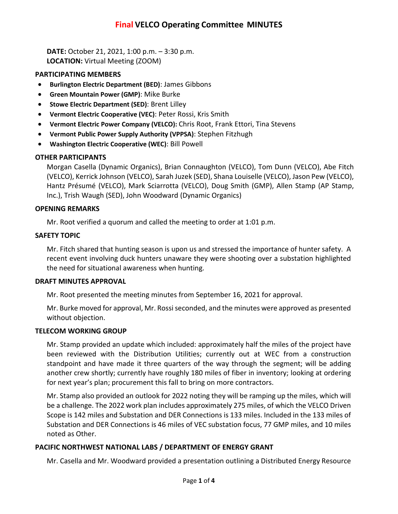**DATE:** October 21, 2021, 1:00 p.m. – 3:30 p.m. **LOCATION:** Virtual Meeting (ZOOM)

## **PARTICIPATING MEMBERS**

- **Burlington Electric Department (BED)**: James Gibbons
- **Green Mountain Power (GMP)**: Mike Burke
- **Stowe Electric Department (SED)**: Brent Lilley
- **Vermont Electric Cooperative (VEC)**: Peter Rossi, Kris Smith
- **Vermont Electric Power Company (VELCO):** Chris Root, Frank Ettori, Tina Stevens
- **Vermont Public Power Supply Authority (VPPSA)**: Stephen Fitzhugh
- **Washington Electric Cooperative (WEC)**: Bill Powell

# **OTHER PARTICIPANTS**

Morgan Casella (Dynamic Organics), Brian Connaughton (VELCO), Tom Dunn (VELCO), Abe Fitch (VELCO), Kerrick Johnson (VELCO), Sarah Juzek (SED), Shana Louiselle (VELCO), Jason Pew (VELCO), Hantz Présumé (VELCO), Mark Sciarrotta (VELCO), Doug Smith (GMP), Allen Stamp (AP Stamp, Inc.), Trish Waugh (SED), John Woodward (Dynamic Organics)

## **OPENING REMARKS**

Mr. Root verified a quorum and called the meeting to order at 1:01 p.m.

## **SAFETY TOPIC**

Mr. Fitch shared that hunting season is upon us and stressed the importance of hunter safety. A recent event involving duck hunters unaware they were shooting over a substation highlighted the need for situational awareness when hunting.

#### **DRAFT MINUTES APPROVAL**

Mr. Root presented the meeting minutes from September 16, 2021 for approval.

Mr. Burke moved for approval, Mr. Rossi seconded, and the minutes were approved as presented without objection.

#### **TELECOM WORKING GROUP**

Mr. Stamp provided an update which included: approximately half the miles of the project have been reviewed with the Distribution Utilities; currently out at WEC from a construction standpoint and have made it three quarters of the way through the segment; will be adding another crew shortly; currently have roughly 180 miles of fiber in inventory; looking at ordering for next year's plan; procurement this fall to bring on more contractors.

Mr. Stamp also provided an outlook for 2022 noting they will be ramping up the miles, which will be a challenge. The 2022 work plan includes approximately 275 miles, of which the VELCO Driven Scope is 142 miles and Substation and DER Connections is 133 miles. Included in the 133 miles of Substation and DER Connections is 46 miles of VEC substation focus, 77 GMP miles, and 10 miles noted as Other.

# **PACIFIC NORTHWEST NATIONAL LABS / DEPARTMENT OF ENERGY GRANT**

Mr. Casella and Mr. Woodward provided a presentation outlining a Distributed Energy Resource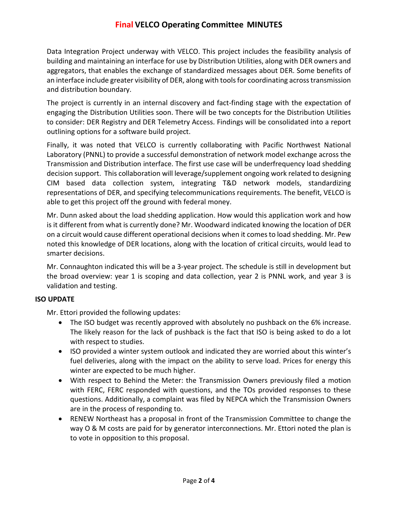# **Final VELCO Operating Committee MINUTES**

Data Integration Project underway with VELCO. This project includes the feasibility analysis of building and maintaining an interface for use by Distribution Utilities, along with DER owners and aggregators, that enables the exchange of standardized messages about DER. Some benefits of an interface include greater visibility of DER, along with tools for coordinating across transmission and distribution boundary.

The project is currently in an internal discovery and fact-finding stage with the expectation of engaging the Distribution Utilities soon. There will be two concepts for the Distribution Utilities to consider: DER Registry and DER Telemetry Access. Findings will be consolidated into a report outlining options for a software build project.

Finally, it was noted that VELCO is currently collaborating with Pacific Northwest National Laboratory (PNNL) to provide a successful demonstration of network model exchange across the Transmission and Distribution interface. The first use case will be underfrequency load shedding decision support. This collaboration will leverage/supplement ongoing work related to designing CIM based data collection system, integrating T&D network models, standardizing representations of DER, and specifying telecommunications requirements. The benefit, VELCO is able to get this project off the ground with federal money.

Mr. Dunn asked about the load shedding application. How would this application work and how is it different from what is currently done? Mr. Woodward indicated knowing the location of DER on a circuit would cause different operational decisions when it comes to load shedding. Mr. Pew noted this knowledge of DER locations, along with the location of critical circuits, would lead to smarter decisions.

Mr. Connaughton indicated this will be a 3-year project. The schedule is still in development but the broad overview: year 1 is scoping and data collection, year 2 is PNNL work, and year 3 is validation and testing.

#### **ISO UPDATE**

Mr. Ettori provided the following updates:

- The ISO budget was recently approved with absolutely no pushback on the 6% increase. The likely reason for the lack of pushback is the fact that ISO is being asked to do a lot with respect to studies.
- ISO provided a winter system outlook and indicated they are worried about this winter's fuel deliveries, along with the impact on the ability to serve load. Prices for energy this winter are expected to be much higher.
- With respect to Behind the Meter: the Transmission Owners previously filed a motion with FERC, FERC responded with questions, and the TOs provided responses to these questions. Additionally, a complaint was filed by NEPCA which the Transmission Owners are in the process of responding to.
- RENEW Northeast has a proposal in front of the Transmission Committee to change the way O & M costs are paid for by generator interconnections. Mr. Ettori noted the plan is to vote in opposition to this proposal.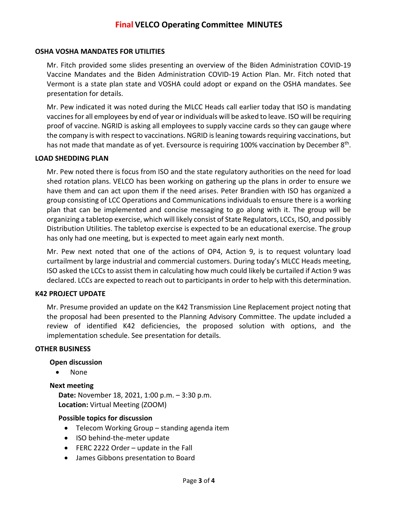#### **OSHA VOSHA MANDATES FOR UTILITIES**

Mr. Fitch provided some slides presenting an overview of the Biden Administration COVID-19 Vaccine Mandates and the Biden Administration COVID-19 Action Plan. Mr. Fitch noted that Vermont is a state plan state and VOSHA could adopt or expand on the OSHA mandates. See presentation for details.

Mr. Pew indicated it was noted during the MLCC Heads call earlier today that ISO is mandating vaccines for all employees by end of year or individuals will be asked to leave. ISO will be requiring proof of vaccine. NGRID is asking all employees to supply vaccine cards so they can gauge where the company is with respect to vaccinations. NGRID is leaning towards requiring vaccinations, but has not made that mandate as of yet. Eversource is requiring 100% vaccination by December 8<sup>th</sup>.

#### **LOAD SHEDDING PLAN**

Mr. Pew noted there is focus from ISO and the state regulatory authorities on the need for load shed rotation plans. VELCO has been working on gathering up the plans in order to ensure we have them and can act upon them if the need arises. Peter Brandien with ISO has organized a group consisting of LCC Operations and Communications individuals to ensure there is a working plan that can be implemented and concise messaging to go along with it. The group will be organizing a tabletop exercise, which will likely consist of State Regulators, LCCs, ISO, and possibly Distribution Utilities. The tabletop exercise is expected to be an educational exercise. The group has only had one meeting, but is expected to meet again early next month.

Mr. Pew next noted that one of the actions of OP4, Action 9, is to request voluntary load curtailment by large industrial and commercial customers. During today's MLCC Heads meeting, ISO asked the LCCs to assist them in calculating how much could likely be curtailed if Action 9 was declared. LCCs are expected to reach out to participants in order to help with this determination.

#### **K42 PROJECT UPDATE**

Mr. Presume provided an update on the K42 Transmission Line Replacement project noting that the proposal had been presented to the Planning Advisory Committee. The update included a review of identified K42 deficiencies, the proposed solution with options, and the implementation schedule. See presentation for details.

#### **OTHER BUSINESS**

#### **Open discussion**

• None

#### **Next meeting**

**Date:** November 18, 2021, 1:00 p.m. – 3:30 p.m. **Location:** Virtual Meeting (ZOOM)

#### **Possible topics for discussion**

- Telecom Working Group standing agenda item
- ISO behind-the-meter update
- FERC 2222 Order update in the Fall
- James Gibbons presentation to Board